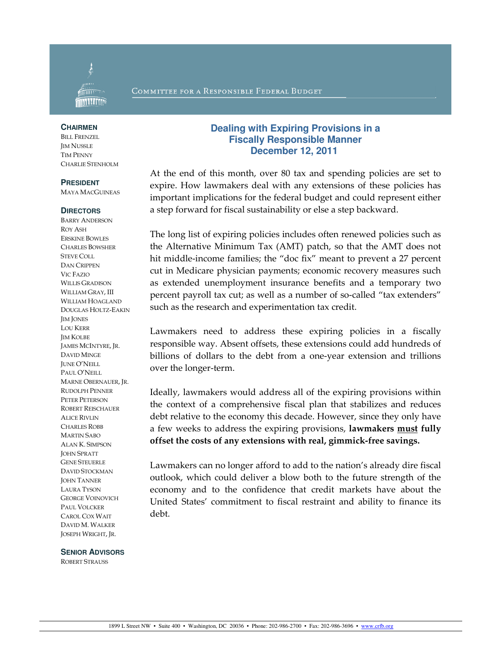

### COMMITTEE FOR A RESPONSIBLE FEDERAL BUDGET

#### **CHAIRMEN**

**BILL FRENZEL IM NUSSLE** TIM PENNY CHARLIE STENHOLM

#### **PRESIDENT**

MAYA MACGUINEAS

#### **DIRECTORS**

BARRY ANDERSON ROY ASH ERSKINE BOWLES CHARLES BOWSHER STEVE COLL DAN CRIPPEN VIC FAZIO WILLIS GRADISON WILLIAM GRAY, III WILLIAM HOAGLAND DOUGLAS HOLTZ-EAKIN JIM JONES LOU KERR JIM KOLBE JAMES MCINTYRE, JR. DAVID MINGE JUNE O'NEILL PAUL O'NEILL MARNE OBERNAUER, JR. RUDOLPH PENNER PETER PETERSON ROBERT REISCHAUER ALICE RIVLIN CHARLES ROBB MARTIN SABO ALAN K. SIMPSON JOHN SPRATT GENE STEUERLE DAVID STOCKMAN **JOHN TANNER** LAURA TYSON GEORGE VOINOVICH PAUL VOLCKER CAROL COX WAIT DAVID M. WALKER JOSEPH WRIGHT, JR.

#### **SENIOR ADVISORS**

ROBERT STRAUSS

# **Dealing with Expiring Provisions in a Fiscally Responsible Manner December 12, 2011**

At the end of this month, over 80 tax and spending policies are set to expire. How lawmakers deal with any extensions of these policies has important implications for the federal budget and could represent either a step forward for fiscal sustainability or else a step backward.

The long list of expiring policies includes often renewed policies such as the Alternative Minimum Tax (AMT) patch, so that the AMT does not hit middle-income families; the "doc fix" meant to prevent a 27 percent cut in Medicare physician payments; economic recovery measures such as extended unemployment insurance benefits and a temporary two percent payroll tax cut; as well as a number of so-called "tax extenders" such as the research and experimentation tax credit.

Lawmakers need to address these expiring policies in a fiscally responsible way. Absent offsets, these extensions could add hundreds of billions of dollars to the debt from a one-year extension and trillions over the longer-term.

Ideally, lawmakers would address all of the expiring provisions within the context of a comprehensive fiscal plan that stabilizes and reduces debt relative to the economy this decade. However, since they only have a few weeks to address the expiring provisions, lawmakers must fully offset the costs of any extensions with real, gimmick-free savings.

Lawmakers can no longer afford to add to the nation's already dire fiscal outlook, which could deliver a blow both to the future strength of the economy and to the confidence that credit markets have about the United States' commitment to fiscal restraint and ability to finance its debt.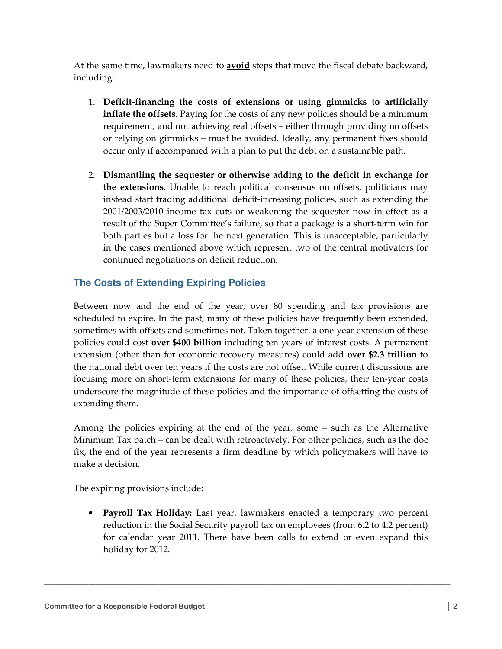At the same time, lawmakers need to **avoid** steps that move the fiscal debate backward, including:

- 1. Deficit-financing the costs of extensions or using gimmicks to artificially inflate the offsets. Paying for the costs of any new policies should be a minimum requirement, and not achieving real offsets – either through providing no offsets or relying on gimmicks – must be avoided. Ideally, any permanent fixes should occur only if accompanied with a plan to put the debt on a sustainable path.
- 2. Dismantling the sequester or otherwise adding to the deficit in exchange for the extensions. Unable to reach political consensus on offsets, politicians may instead start trading additional deficit-increasing policies, such as extending the 2001/2003/2010 income tax cuts or weakening the sequester now in effect as a result of the Super Committee's failure, so that a package is a short-term win for both parties but a loss for the next generation. This is unacceptable, particularly in the cases mentioned above which represent two of the central motivators for continued negotiations on deficit reduction.

# **The Costs of Extending Expiring Policies**

Between now and the end of the year, over 80 spending and tax provisions are scheduled to expire. In the past, many of these policies have frequently been extended, sometimes with offsets and sometimes not. Taken together, a one-year extension of these policies could cost over \$400 billion including ten years of interest costs. A permanent extension (other than for economic recovery measures) could add over \$2.3 trillion to the national debt over ten years if the costs are not offset. While current discussions are focusing more on short-term extensions for many of these policies, their ten-year costs underscore the magnitude of these policies and the importance of offsetting the costs of extending them.

Among the policies expiring at the end of the year, some – such as the Alternative Minimum Tax patch – can be dealt with retroactively. For other policies, such as the doc fix, the end of the year represents a firm deadline by which policymakers will have to make a decision.

The expiring provisions include:

• Payroll Tax Holiday: Last year, lawmakers enacted a temporary two percent reduction in the Social Security payroll tax on employees (from 6.2 to 4.2 percent) for calendar year 2011. There have been calls to extend or even expand this holiday for 2012.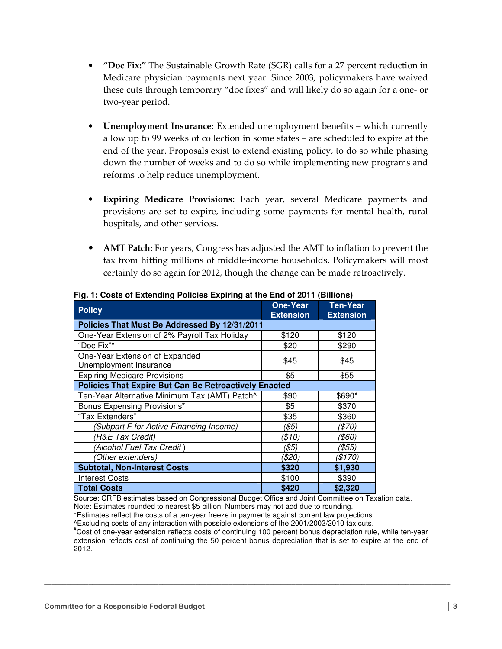- "Doc Fix:" The Sustainable Growth Rate (SGR) calls for a 27 percent reduction in Medicare physician payments next year. Since 2003, policymakers have waived these cuts through temporary "doc fixes" and will likely do so again for a one- or two-year period.
- Unemployment Insurance: Extended unemployment benefits which currently allow up to 99 weeks of collection in some states – are scheduled to expire at the end of the year. Proposals exist to extend existing policy, to do so while phasing down the number of weeks and to do so while implementing new programs and reforms to help reduce unemployment.
- Expiring Medicare Provisions: Each year, several Medicare payments and provisions are set to expire, including some payments for mental health, rural hospitals, and other services.
- **AMT Patch:** For years, Congress has adjusted the AMT to inflation to prevent the tax from hitting millions of middle-income households. Policymakers will most certainly do so again for 2012, though the change can be made retroactively.

| <b>Policy</b>                                                | <b>One-Year</b><br><b>Extension</b> | <b>Ten-Year</b><br><b>Extension</b> |
|--------------------------------------------------------------|-------------------------------------|-------------------------------------|
| Policies That Must Be Addressed By 12/31/2011                |                                     |                                     |
| One-Year Extension of 2% Payroll Tax Holiday                 | \$120                               | \$120                               |
| "Doc Fix"*                                                   | \$20                                | \$290                               |
| One-Year Extension of Expanded<br>Unemployment Insurance     | \$45                                | \$45                                |
| <b>Expiring Medicare Provisions</b>                          | \$5                                 | \$55                                |
| <b>Policies That Expire But Can Be Retroactively Enacted</b> |                                     |                                     |
| Ten-Year Alternative Minimum Tax (AMT) Patch^                | \$90                                | \$690*                              |
| Bonus Expensing Provisions <sup>#</sup>                      | \$5                                 | \$370                               |
| "Tax Extenders"                                              | \$35                                | \$360                               |
| (Subpart F for Active Financing Income)                      | (\$5)                               | (\$70)                              |
| (R&E Tax Credit)                                             | (\$10)                              | (\$60)                              |
| (Alcohol Fuel Tax Credit)                                    | (\$5)                               | (\$55)                              |
| (Other extenders)                                            | (\$20)                              | (\$170)                             |
| <b>Subtotal, Non-Interest Costs</b>                          | \$320                               | \$1,930                             |
| Interest Costs                                               | \$100                               | \$390                               |
| <b>Total Costs</b>                                           | \$420                               | \$2,320                             |

**Fig. 1: Costs of Extending Policies Expiring at the End of 2011 (Billions)** 

Source: CRFB estimates based on Congressional Budget Office and Joint Committee on Taxation data. Note: Estimates rounded to nearest \$5 billion. Numbers may not add due to rounding.

\*Estimates reflect the costs of a ten-year freeze in payments against current law projections.

^Excluding costs of any interaction with possible extensions of the 2001/2003/2010 tax cuts.

#Cost of one-year extension reflects costs of continuing 100 percent bonus depreciation rule, while ten-year extension reflects cost of continuing the 50 percent bonus depreciation that is set to expire at the end of 2012.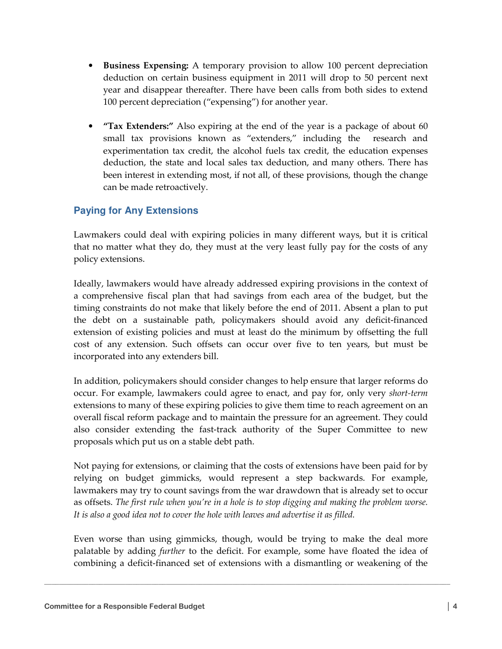- Business Expensing: A temporary provision to allow 100 percent depreciation deduction on certain business equipment in 2011 will drop to 50 percent next year and disappear thereafter. There have been calls from both sides to extend 100 percent depreciation ("expensing") for another year.
- "Tax Extenders:" Also expiring at the end of the year is a package of about 60 small tax provisions known as "extenders," including the research and experimentation tax credit, the alcohol fuels tax credit, the education expenses deduction, the state and local sales tax deduction, and many others. There has been interest in extending most, if not all, of these provisions, though the change can be made retroactively.

# **Paying for Any Extensions**

Lawmakers could deal with expiring policies in many different ways, but it is critical that no matter what they do, they must at the very least fully pay for the costs of any policy extensions.

Ideally, lawmakers would have already addressed expiring provisions in the context of a comprehensive fiscal plan that had savings from each area of the budget, but the timing constraints do not make that likely before the end of 2011. Absent a plan to put the debt on a sustainable path, policymakers should avoid any deficit-financed extension of existing policies and must at least do the minimum by offsetting the full cost of any extension. Such offsets can occur over five to ten years, but must be incorporated into any extenders bill.

In addition, policymakers should consider changes to help ensure that larger reforms do occur. For example, lawmakers could agree to enact, and pay for, only very short-term extensions to many of these expiring policies to give them time to reach agreement on an overall fiscal reform package and to maintain the pressure for an agreement. They could also consider extending the fast-track authority of the Super Committee to new proposals which put us on a stable debt path.

Not paying for extensions, or claiming that the costs of extensions have been paid for by relying on budget gimmicks, would represent a step backwards. For example, lawmakers may try to count savings from the war drawdown that is already set to occur as offsets. The first rule when you're in a hole is to stop digging and making the problem worse. It is also a good idea not to cover the hole with leaves and advertise it as filled.

Even worse than using gimmicks, though, would be trying to make the deal more palatable by adding further to the deficit. For example, some have floated the idea of combining a deficit-financed set of extensions with a dismantling or weakening of the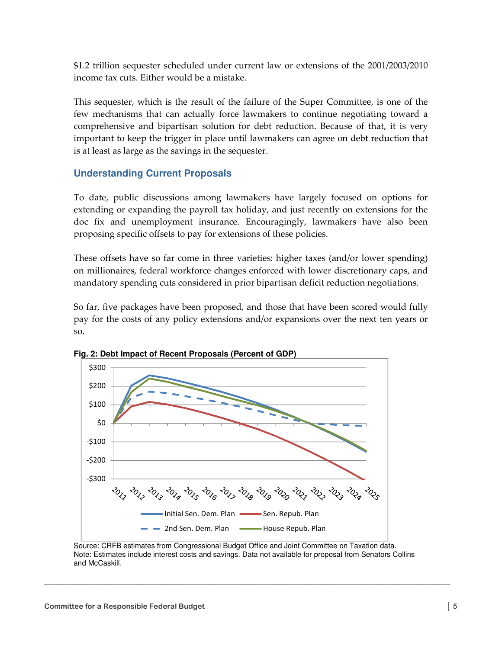\$1.2 trillion sequester scheduled under current law or extensions of the 2001/2003/2010 income tax cuts. Either would be a mistake.

This sequester, which is the result of the failure of the Super Committee, is one of the few mechanisms that can actually force lawmakers to continue negotiating toward a comprehensive and bipartisan solution for debt reduction. Because of that, it is very important to keep the trigger in place until lawmakers can agree on debt reduction that is at least as large as the savings in the sequester.

# **Understanding Current Proposals**

To date, public discussions among lawmakers have largely focused on options for extending or expanding the payroll tax holiday, and just recently on extensions for the doc fix and unemployment insurance. Encouragingly, lawmakers have also been proposing specific offsets to pay for extensions of these policies.

These offsets have so far come in three varieties: higher taxes (and/or lower spending) on millionaires, federal workforce changes enforced with lower discretionary caps, and mandatory spending cuts considered in prior bipartisan deficit reduction negotiations.

So far, five packages have been proposed, and those that have been scored would fully pay for the costs of any policy extensions and/or expansions over the next ten years or so.



**Fig. 2: Debt Impact of Recent Proposals (Percent of GDP)** 

 Source: CRFB estimates from Congressional Budget Office and Joint Committee on Taxation data. Note: Estimates include interest costs and savings. Data not available for proposal from Senators Collins and McCaskill.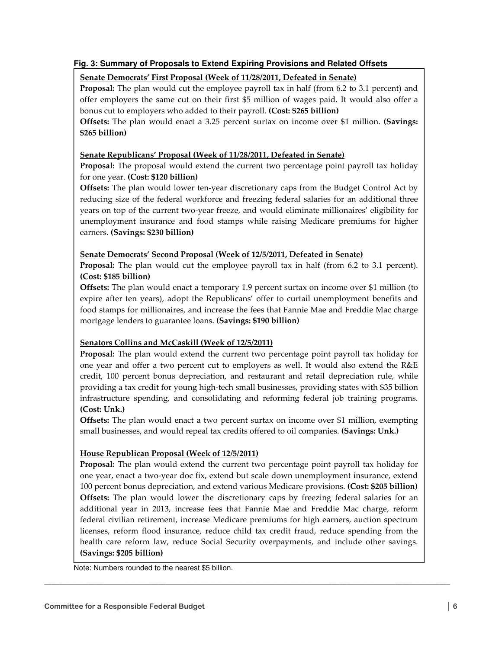## **Fig. 3: Summary of Proposals to Extend Expiring Provisions and Related Offsets**

## Senate Democrats' First Proposal (Week of 11/28/2011, Defeated in Senate)

Proposal: The plan would cut the employee payroll tax in half (from 6.2 to 3.1 percent) and offer employers the same cut on their first \$5 million of wages paid. It would also offer a bonus cut to employers who added to their payroll. (Cost: \$265 billion)

Offsets: The plan would enact a 3.25 percent surtax on income over \$1 million. (Savings: \$265 billion)

## Senate Republicans' Proposal (Week of 11/28/2011, Defeated in Senate)

Proposal: The proposal would extend the current two percentage point payroll tax holiday for one year. (Cost: \$120 billion)

Offsets: The plan would lower ten-year discretionary caps from the Budget Control Act by reducing size of the federal workforce and freezing federal salaries for an additional three years on top of the current two-year freeze, and would eliminate millionaires' eligibility for unemployment insurance and food stamps while raising Medicare premiums for higher earners. (Savings: \$230 billion)

### Senate Democrats' Second Proposal (Week of 12/5/2011, Defeated in Senate)

Proposal: The plan would cut the employee payroll tax in half (from 6.2 to 3.1 percent). (Cost: \$185 billion)

Offsets: The plan would enact a temporary 1.9 percent surtax on income over \$1 million (to expire after ten years), adopt the Republicans' offer to curtail unemployment benefits and food stamps for millionaires, and increase the fees that Fannie Mae and Freddie Mac charge mortgage lenders to guarantee loans. (Savings: \$190 billion)

## Senators Collins and McCaskill (Week of 12/5/2011)

Proposal: The plan would extend the current two percentage point payroll tax holiday for one year and offer a two percent cut to employers as well. It would also extend the R&E credit, 100 percent bonus depreciation, and restaurant and retail depreciation rule, while providing a tax credit for young high-tech small businesses, providing states with \$35 billion infrastructure spending, and consolidating and reforming federal job training programs. (Cost: Unk.)

Offsets: The plan would enact a two percent surtax on income over \$1 million, exempting small businesses, and would repeal tax credits offered to oil companies. (Savings: Unk.)

## House Republican Proposal (Week of 12/5/2011)

Proposal: The plan would extend the current two percentage point payroll tax holiday for one year, enact a two-year doc fix, extend but scale down unemployment insurance, extend 100 percent bonus depreciation, and extend various Medicare provisions. (Cost: \$205 billion) Offsets: The plan would lower the discretionary caps by freezing federal salaries for an additional year in 2013, increase fees that Fannie Mae and Freddie Mac charge, reform federal civilian retirement, increase Medicare premiums for high earners, auction spectrum licenses, reform flood insurance, reduce child tax credit fraud, reduce spending from the health care reform law, reduce Social Security overpayments, and include other savings. (Savings: \$205 billion)

 $\mathcal{L}_\mathcal{L} = \{ \mathcal{L}_\mathcal{L} = \{ \mathcal{L}_\mathcal{L} = \{ \mathcal{L}_\mathcal{L} = \{ \mathcal{L}_\mathcal{L} = \{ \mathcal{L}_\mathcal{L} = \{ \mathcal{L}_\mathcal{L} = \{ \mathcal{L}_\mathcal{L} = \{ \mathcal{L}_\mathcal{L} = \{ \mathcal{L}_\mathcal{L} = \{ \mathcal{L}_\mathcal{L} = \{ \mathcal{L}_\mathcal{L} = \{ \mathcal{L}_\mathcal{L} = \{ \mathcal{L}_\mathcal{L} = \{ \mathcal{L}_\mathcal{$ 

Note: Numbers rounded to the nearest \$5 billion.